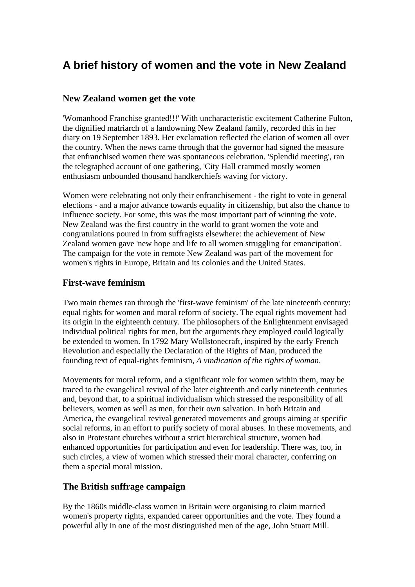# **A brief history of women and the vote in New Zealand**

## **New Zealand women get the vote**

'Womanhood Franchise granted!!!' With uncharacteristic excitement Catherine Fulton, the dignified matriarch of a landowning New Zealand family, recorded this in her diary on 19 September 1893. Her exclamation reflected the elation of women all over the country. When the news came through that the governor had signed the measure that enfranchised women there was spontaneous celebration. 'Splendid meeting', ran the telegraphed account of one gathering, 'City Hall crammed mostly women enthusiasm unbounded thousand handkerchiefs waving for victory.

Women were celebrating not only their enfranchisement - the right to vote in general elections - and a major advance towards equality in citizenship, but also the chance to influence society. For some, this was the most important part of winning the vote. New Zealand was the first country in the world to grant women the vote and congratulations poured in from suffragists elsewhere: the achievement of New Zealand women gave 'new hope and life to all women struggling for emancipation'. The campaign for the vote in remote New Zealand was part of the movement for women's rights in Europe, Britain and its colonies and the United States.

## **First-wave feminism**

Two main themes ran through the 'first-wave feminism' of the late nineteenth century: equal rights for women and moral reform of society. The equal rights movement had its origin in the eighteenth century. The philosophers of the Enlightenment envisaged individual political rights for men, but the arguments they employed could logically be extended to women. In 1792 Mary Wollstonecraft, inspired by the early French Revolution and especially the Declaration of the Rights of Man, produced the founding text of equal-rights feminism, *A vindication of the rights of woman*.

Movements for moral reform, and a significant role for women within them, may be traced to the evangelical revival of the later eighteenth and early nineteenth centuries and, beyond that, to a spiritual individualism which stressed the responsibility of all believers, women as well as men, for their own salvation. In both Britain and America, the evangelical revival generated movements and groups aiming at specific social reforms, in an effort to purify society of moral abuses. In these movements, and also in Protestant churches without a strict hierarchical structure, women had enhanced opportunities for participation and even for leadership. There was, too, in such circles, a view of women which stressed their moral character, conferring on them a special moral mission.

# **The British suffrage campaign**

By the 1860s middle-class women in Britain were organising to claim married women's property rights, expanded career opportunities and the vote. They found a powerful ally in one of the most distinguished men of the age, John Stuart Mill.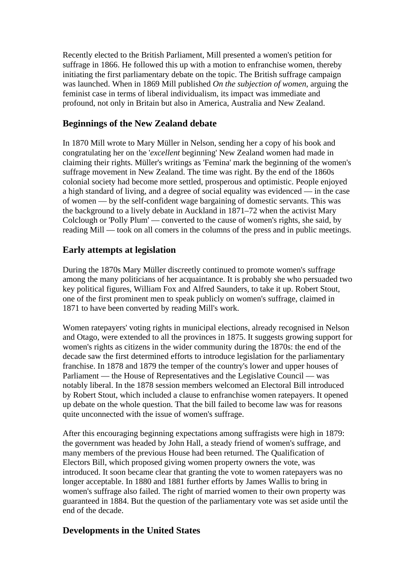Recently elected to the British Parliament, Mill presented a women's petition for suffrage in 1866. He followed this up with a motion to enfranchise women, thereby initiating the first parliamentary debate on the topic. The British suffrage campaign was launched. When in 1869 Mill published *On the subjection of women*, arguing the feminist case in terms of liberal individualism, its impact was immediate and profound, not only in Britain but also in America, Australia and New Zealand.

# **Beginnings of the New Zealand debate**

In 1870 Mill wrote to Mary Müller in Nelson, sending her a copy of his book and congratulating her on the '*excellent* beginning' New Zealand women had made in claiming their rights. Müller's writings as 'Femina' mark the beginning of the women's suffrage movement in New Zealand. The time was right. By the end of the 1860s colonial society had become more settled, prosperous and optimistic. People enjoyed a high standard of living, and a degree of social equality was evidenced — in the case of women — by the self-confident wage bargaining of domestic servants. This was the background to a lively debate in Auckland in 1871–72 when the activist Mary Colclough or 'Polly Plum' — converted to the cause of women's rights, she said, by reading Mill — took on all comers in the columns of the press and in public meetings.

## **Early attempts at legislation**

During the 1870s Mary Müller discreetly continued to promote women's suffrage among the many politicians of her acquaintance. It is probably she who persuaded two key political figures, William Fox and Alfred Saunders, to take it up. Robert Stout, one of the first prominent men to speak publicly on women's suffrage, claimed in 1871 to have been converted by reading Mill's work.

Women ratepayers' voting rights in municipal elections, already recognised in Nelson and Otago, were extended to all the provinces in 1875. It suggests growing support for women's rights as citizens in the wider community during the 1870s: the end of the decade saw the first determined efforts to introduce legislation for the parliamentary franchise. In 1878 and 1879 the temper of the country's lower and upper houses of Parliament — the House of Representatives and the Legislative Council — was notably liberal. In the 1878 session members welcomed an Electoral Bill introduced by Robert Stout, which included a clause to enfranchise women ratepayers. It opened up debate on the whole question. That the bill failed to become law was for reasons quite unconnected with the issue of women's suffrage.

After this encouraging beginning expectations among suffragists were high in 1879: the government was headed by John Hall, a steady friend of women's suffrage, and many members of the previous House had been returned. The Qualification of Electors Bill, which proposed giving women property owners the vote, was introduced. It soon became clear that granting the vote to women ratepayers was no longer acceptable. In 1880 and 1881 further efforts by James Wallis to bring in women's suffrage also failed. The right of married women to their own property was guaranteed in 1884. But the question of the parliamentary vote was set aside until the end of the decade.

## **Developments in the United States**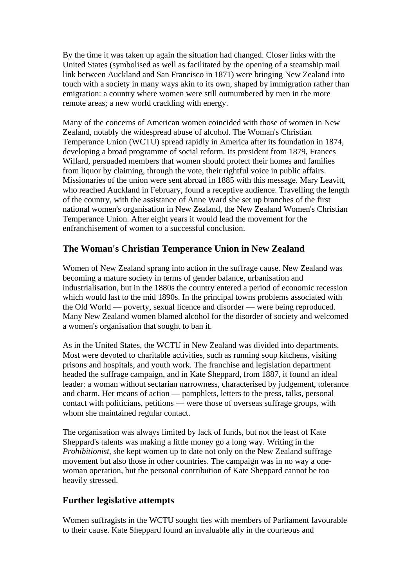By the time it was taken up again the situation had changed. Closer links with the United States (symbolised as well as facilitated by the opening of a steamship mail link between Auckland and San Francisco in 1871) were bringing New Zealand into touch with a society in many ways akin to its own, shaped by immigration rather than emigration: a country where women were still outnumbered by men in the more remote areas; a new world crackling with energy.

Many of the concerns of American women coincided with those of women in New Zealand, notably the widespread abuse of alcohol. The Woman's Christian Temperance Union (WCTU) spread rapidly in America after its foundation in 1874, developing a broad programme of social reform. Its president from 1879, Frances Willard, persuaded members that women should protect their homes and families from liquor by claiming, through the vote, their rightful voice in public affairs. Missionaries of the union were sent abroad in 1885 with this message. Mary Leavitt, who reached Auckland in February, found a receptive audience. Travelling the length of the country, with the assistance of Anne Ward she set up branches of the first national women's organisation in New Zealand, the New Zealand Women's Christian Temperance Union. After eight years it would lead the movement for the enfranchisement of women to a successful conclusion.

## **The Woman's Christian Temperance Union in New Zealand**

Women of New Zealand sprang into action in the suffrage cause. New Zealand was becoming a mature society in terms of gender balance, urbanisation and industrialisation, but in the 1880s the country entered a period of economic recession which would last to the mid 1890s. In the principal towns problems associated with the Old World — poverty, sexual licence and disorder — were being reproduced. Many New Zealand women blamed alcohol for the disorder of society and welcomed a women's organisation that sought to ban it.

As in the United States, the WCTU in New Zealand was divided into departments. Most were devoted to charitable activities, such as running soup kitchens, visiting prisons and hospitals, and youth work. The franchise and legislation department headed the suffrage campaign, and in Kate Sheppard, from 1887, it found an ideal leader: a woman without sectarian narrowness, characterised by judgement, tolerance and charm. Her means of action — pamphlets, letters to the press, talks, personal contact with politicians, petitions — were those of overseas suffrage groups, with whom she maintained regular contact.

The organisation was always limited by lack of funds, but not the least of Kate Sheppard's talents was making a little money go a long way. Writing in the *Prohibitionist*, she kept women up to date not only on the New Zealand suffrage movement but also those in other countries. The campaign was in no way a onewoman operation, but the personal contribution of Kate Sheppard cannot be too heavily stressed.

#### **Further legislative attempts**

Women suffragists in the WCTU sought ties with members of Parliament favourable to their cause. Kate Sheppard found an invaluable ally in the courteous and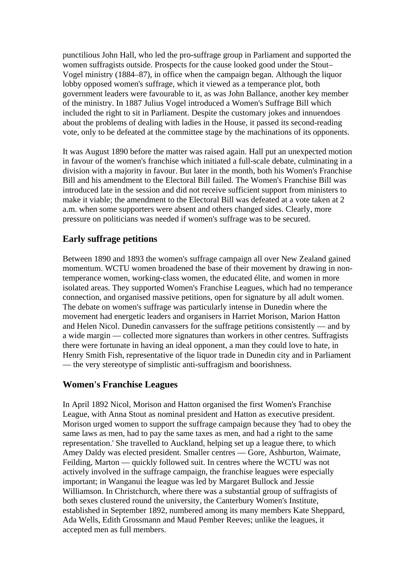punctilious John Hall, who led the pro-suffrage group in Parliament and supported the women suffragists outside. Prospects for the cause looked good under the Stout– Vogel ministry (1884–87), in office when the campaign began. Although the liquor lobby opposed women's suffrage, which it viewed as a temperance plot, both government leaders were favourable to it, as was John Ballance, another key member of the ministry. In 1887 Julius Vogel introduced a Women's Suffrage Bill which included the right to sit in Parliament. Despite the customary jokes and innuendoes about the problems of dealing with ladies in the House, it passed its second-reading vote, only to be defeated at the committee stage by the machinations of its opponents.

It was August 1890 before the matter was raised again. Hall put an unexpected motion in favour of the women's franchise which initiated a full-scale debate, culminating in a division with a majority in favour. But later in the month, both his Women's Franchise Bill and his amendment to the Electoral Bill failed. The Women's Franchise Bill was introduced late in the session and did not receive sufficient support from ministers to make it viable; the amendment to the Electoral Bill was defeated at a vote taken at 2 a.m. when some supporters were absent and others changed sides. Clearly, more pressure on politicians was needed if women's suffrage was to be secured.

## **Early suffrage petitions**

Between 1890 and 1893 the women's suffrage campaign all over New Zealand gained momentum. WCTU women broadened the base of their movement by drawing in nontemperance women, working-class women, the educated élite, and women in more isolated areas. They supported Women's Franchise Leagues, which had no temperance connection, and organised massive petitions, open for signature by all adult women. The debate on women's suffrage was particularly intense in Dunedin where the movement had energetic leaders and organisers in Harriet Morison, Marion Hatton and Helen Nicol. Dunedin canvassers for the suffrage petitions consistently — and by a wide margin — collected more signatures than workers in other centres. Suffragists there were fortunate in having an ideal opponent, a man they could love to hate, in Henry Smith Fish, representative of the liquor trade in Dunedin city and in Parliament — the very stereotype of simplistic anti-suffragism and boorishness.

## **Women's Franchise Leagues**

In April 1892 Nicol, Morison and Hatton organised the first Women's Franchise League, with Anna Stout as nominal president and Hatton as executive president. Morison urged women to support the suffrage campaign because they 'had to obey the same laws as men, had to pay the same taxes as men, and had a right to the same representation.' She travelled to Auckland, helping set up a league there, to which Amey Daldy was elected president. Smaller centres — Gore, Ashburton, Waimate, Feilding, Marton — quickly followed suit. In centres where the WCTU was not actively involved in the suffrage campaign, the franchise leagues were especially important; in Wanganui the league was led by Margaret Bullock and Jessie Williamson. In Christchurch, where there was a substantial group of suffragists of both sexes clustered round the university, the Canterbury Women's Institute, established in September 1892, numbered among its many members Kate Sheppard, Ada Wells, Edith Grossmann and Maud Pember Reeves; unlike the leagues, it accepted men as full members.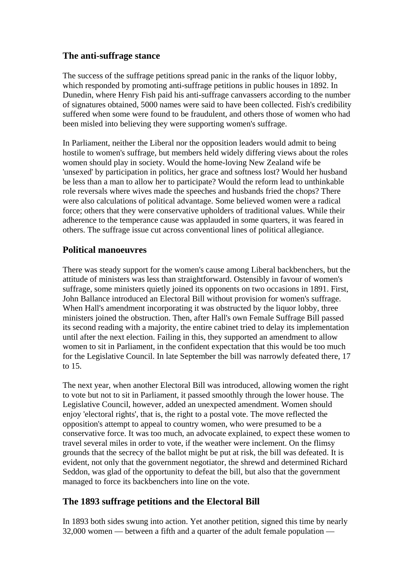## **The anti-suffrage stance**

The success of the suffrage petitions spread panic in the ranks of the liquor lobby, which responded by promoting anti-suffrage petitions in public houses in 1892. In Dunedin, where Henry Fish paid his anti-suffrage canvassers according to the number of signatures obtained, 5000 names were said to have been collected. Fish's credibility suffered when some were found to be fraudulent, and others those of women who had been misled into believing they were supporting women's suffrage.

In Parliament, neither the Liberal nor the opposition leaders would admit to being hostile to women's suffrage, but members held widely differing views about the roles women should play in society. Would the home-loving New Zealand wife be 'unsexed' by participation in politics, her grace and softness lost? Would her husband be less than a man to allow her to participate? Would the reform lead to unthinkable role reversals where wives made the speeches and husbands fried the chops? There were also calculations of political advantage. Some believed women were a radical force; others that they were conservative upholders of traditional values. While their adherence to the temperance cause was applauded in some quarters, it was feared in others. The suffrage issue cut across conventional lines of political allegiance.

## **Political manoeuvres**

There was steady support for the women's cause among Liberal backbenchers, but the attitude of ministers was less than straightforward. Ostensibly in favour of women's suffrage, some ministers quietly joined its opponents on two occasions in 1891. First, John Ballance introduced an Electoral Bill without provision for women's suffrage. When Hall's amendment incorporating it was obstructed by the liquor lobby, three ministers joined the obstruction. Then, after Hall's own Female Suffrage Bill passed its second reading with a majority, the entire cabinet tried to delay its implementation until after the next election. Failing in this, they supported an amendment to allow women to sit in Parliament, in the confident expectation that this would be too much for the Legislative Council. In late September the bill was narrowly defeated there, 17 to 15.

The next year, when another Electoral Bill was introduced, allowing women the right to vote but not to sit in Parliament, it passed smoothly through the lower house. The Legislative Council, however, added an unexpected amendment. Women should enjoy 'electoral rights', that is, the right to a postal vote. The move reflected the opposition's attempt to appeal to country women, who were presumed to be a conservative force. It was too much, an advocate explained, to expect these women to travel several miles in order to vote, if the weather were inclement. On the flimsy grounds that the secrecy of the ballot might be put at risk, the bill was defeated. It is evident, not only that the government negotiator, the shrewd and determined Richard Seddon, was glad of the opportunity to defeat the bill, but also that the government managed to force its backbenchers into line on the vote.

## **The 1893 suffrage petitions and the Electoral Bill**

In 1893 both sides swung into action. Yet another petition, signed this time by nearly 32,000 women — between a fifth and a quarter of the adult female population —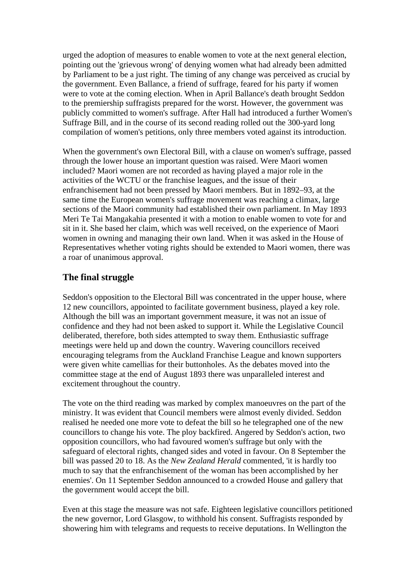urged the adoption of measures to enable women to vote at the next general election, pointing out the 'grievous wrong' of denying women what had already been admitted by Parliament to be a just right. The timing of any change was perceived as crucial by the government. Even Ballance, a friend of suffrage, feared for his party if women were to vote at the coming election. When in April Ballance's death brought Seddon to the premiership suffragists prepared for the worst. However, the government was publicly committed to women's suffrage. After Hall had introduced a further Women's Suffrage Bill, and in the course of its second reading rolled out the 300-yard long compilation of women's petitions, only three members voted against its introduction.

When the government's own Electoral Bill, with a clause on women's suffrage, passed through the lower house an important question was raised. Were Maori women included? Maori women are not recorded as having played a major role in the activities of the WCTU or the franchise leagues, and the issue of their enfranchisement had not been pressed by Maori members. But in 1892–93, at the same time the European women's suffrage movement was reaching a climax, large sections of the Maori community had established their own parliament. In May 1893 Meri Te Tai Mangakahia presented it with a motion to enable women to vote for and sit in it. She based her claim, which was well received, on the experience of Maori women in owning and managing their own land. When it was asked in the House of Representatives whether voting rights should be extended to Maori women, there was a roar of unanimous approval.

## **The final struggle**

Seddon's opposition to the Electoral Bill was concentrated in the upper house, where 12 new councillors, appointed to facilitate government business, played a key role. Although the bill was an important government measure, it was not an issue of confidence and they had not been asked to support it. While the Legislative Council deliberated, therefore, both sides attempted to sway them. Enthusiastic suffrage meetings were held up and down the country. Wavering councillors received encouraging telegrams from the Auckland Franchise League and known supporters were given white camellias for their buttonholes. As the debates moved into the committee stage at the end of August 1893 there was unparalleled interest and excitement throughout the country.

The vote on the third reading was marked by complex manoeuvres on the part of the ministry. It was evident that Council members were almost evenly divided. Seddon realised he needed one more vote to defeat the bill so he telegraphed one of the new councillors to change his vote. The ploy backfired. Angered by Seddon's action, two opposition councillors, who had favoured women's suffrage but only with the safeguard of electoral rights, changed sides and voted in favour. On 8 September the bill was passed 20 to 18. As the *New Zealand Herald* commented, 'it is hardly too much to say that the enfranchisement of the woman has been accomplished by her enemies'. On 11 September Seddon announced to a crowded House and gallery that the government would accept the bill.

Even at this stage the measure was not safe. Eighteen legislative councillors petitioned the new governor, Lord Glasgow, to withhold his consent. Suffragists responded by showering him with telegrams and requests to receive deputations. In Wellington the